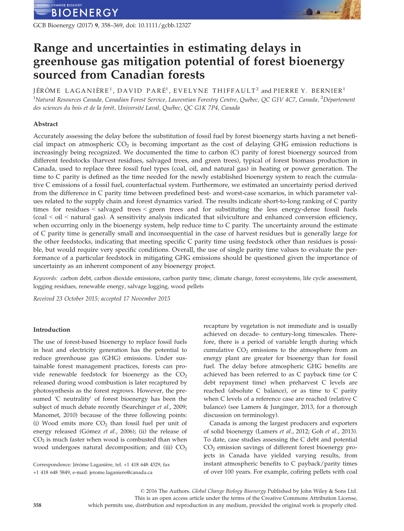GCB Bioenergy (2017) 9, 358–369, doi: 10.1111/gcbb.12327

# Range and uncertainties in estimating delays in greenhouse gas mitigation potential of forest bioenergy sourced from Canadian forests

JÉRÔME LA GANIÈRE<sup>1</sup>, DAVID PARÉ<sup>1</sup>, EVELYNE THIFFAULT<sup>2</sup> and PIERRE Y. BERNIER<sup>1</sup> <sup>1</sup>Natural Resources Canada, Canadian Forest Service, Laurentian Forestry Centre, Québec, QC G1V 4C7, Canada, <sup>2</sup>Département des sciences du bois et de la forêt, Université Laval, Québec, QC G1K 7P4, Canada

# Abstract

Accurately assessing the delay before the substitution of fossil fuel by forest bioenergy starts having a net beneficial impact on atmospheric  $CO<sub>2</sub>$  is becoming important as the cost of delaying GHG emission reductions is increasingly being recognized. We documented the time to carbon (C) parity of forest bioenergy sourced from different feedstocks (harvest residues, salvaged trees, and green trees), typical of forest biomass production in Canada, used to replace three fossil fuel types (coal, oil, and natural gas) in heating or power generation. The time to C parity is defined as the time needed for the newly established bioenergy system to reach the cumulative C emissions of a fossil fuel, counterfactual system. Furthermore, we estimated an uncertainty period derived from the difference in C parity time between predefined best- and worst-case scenarios, in which parameter values related to the supply chain and forest dynamics varied. The results indicate short-to-long ranking of C parity times for residues < salvaged trees < green trees and for substituting the less energy-dense fossil fuels (coal < oil < natural gas). A sensitivity analysis indicated that silviculture and enhanced conversion efficiency, when occurring only in the bioenergy system, help reduce time to C parity. The uncertainty around the estimate of C parity time is generally small and inconsequential in the case of harvest residues but is generally large for the other feedstocks, indicating that meeting specific C parity time using feedstock other than residues is possible, but would require very specific conditions. Overall, the use of single parity time values to evaluate the performance of a particular feedstock in mitigating GHG emissions should be questioned given the importance of uncertainty as an inherent component of any bioenergy project.

Keywords: carbon debt, carbon dioxide emissions, carbon parity time, climate change, forest ecosystems, life cycle assessment, logging residues, renewable energy, salvage logging, wood pellets

Received 23 October 2015; accepted 17 November 2015

# Introduction

The use of forest-based bioenergy to replace fossil fuels in heat and electricity generation has the potential to reduce greenhouse gas (GHG) emissions. Under sustainable forest management practices, forests can provide renewable feedstock for bioenergy as the  $CO<sub>2</sub>$ released during wood combustion is later recaptured by photosynthesis as the forest regrows. However, the presumed 'C neutrality' of forest bioenergy has been the subject of much debate recently (Searchinger et al., 2009; Manomet, 2010) because of the three following points: (i) Wood emits more  $CO<sub>2</sub>$  than fossil fuel per unit of energy released (Gómez et al., 2006); (ii) the release of  $CO<sub>2</sub>$  is much faster when wood is combusted than when wood undergoes natural decomposition; and (iii)  $CO<sub>2</sub>$  recapture by vegetation is not immediate and is usually achieved on decade- to century-long timescales. Therefore, there is a period of variable length during which cumulative  $CO<sub>2</sub>$  emissions to the atmosphere from an energy plant are greater for bioenergy than for fossil fuel. The delay before atmospheric GHG benefits are achieved has been referred to as C payback time (or C debt repayment time) when preharvest C levels are reached (absolute C balance), or as time to C parity when C levels of a reference case are reached (relative C balance) (see Lamers & Junginger, 2013, for a thorough discussion on terminology).

Canada is among the largest producers and exporters of solid bioenergy (Lamers et al., 2012; Goh et al., 2013). To date, case studies assessing the C debt and potential CO<sub>2</sub> emission savings of different forest bioenergy projects in Canada have yielded varying results, from instant atmospheric benefits to C payback/parity times of over 100 years. For example, cofiring pellets with coal

Correspondence: Jérôme Laganière, tel. +1 418 648 4329, fax +1 418 648 5849, e-mail: jerome.laganiere@canada.ca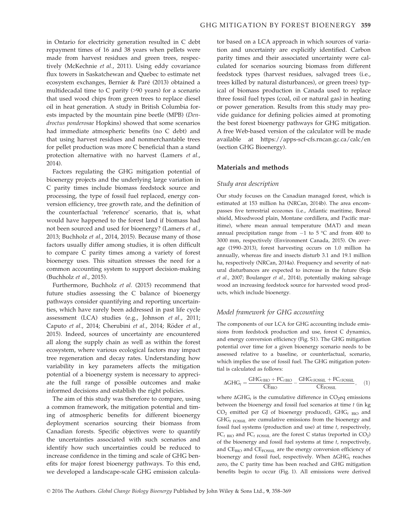in Ontario for electricity generation resulted in C debt repayment times of 16 and 38 years when pellets were made from harvest residues and green trees, respectively (McKechnie et al., 2011). Using eddy covariance flux towers in Saskatchewan and Quebec to estimate net ecosystem exchanges, Bernier & Pare (2013) obtained a multidecadal time to C parity (>90 years) for a scenario that used wood chips from green trees to replace diesel oil in heat generation. A study in British Columbia forests impacted by the mountain pine beetle (MPB) (Dendroctus ponderosae Hopkins) showed that some scenarios had immediate atmospheric benefits (no C debt) and that using harvest residues and nonmerchantable trees for pellet production was more C beneficial than a stand protection alternative with no harvest (Lamers et al., 2014).

Factors regulating the GHG mitigation potential of bioenergy projects and the underlying large variation in C parity times include biomass feedstock source and processing, the type of fossil fuel replaced, energy conversion efficiency, tree growth rate, and the definition of the counterfactual 'reference' scenario, that is, what would have happened to the forest land if biomass had not been sourced and used for bioenergy? (Lamers et al., 2013; Buchholz et al., 2014, 2015). Because many of those factors usually differ among studies, it is often difficult to compare C parity times among a variety of forest bioenergy uses. This situation stresses the need for a common accounting system to support decision-making (Buchholz et al., 2015).

Furthermore, Buchholz et al. (2015) recommend that future studies assessing the C balance of bioenergy pathways consider quantifying and reporting uncertainties, which have rarely been addressed in past life cycle assessment (LCA) studies (e.g., Johnson et al., 2011; Caputo et al., 2014; Cherubini et al., 2014; Röder et al., 2015). Indeed, sources of uncertainty are encountered all along the supply chain as well as within the forest ecosystem, where various ecological factors may impact tree regeneration and decay rates. Understanding how variability in key parameters affects the mitigation potential of a bioenergy system is necessary to appreciate the full range of possible outcomes and make informed decisions and establish the right policies.

The aim of this study was therefore to compare, using a common framework, the mitigation potential and timing of atmospheric benefits for different bioenergy deployment scenarios sourcing their biomass from Canadian forests. Specific objectives were to quantify the uncertainties associated with such scenarios and identify how such uncertainties could be reduced to increase confidence in the timing and scale of GHG benefits for major forest bioenergy pathways. To this end, we developed a landscape-scale GHG emission calculator based on a LCA approach in which sources of variation and uncertainty are explicitly identified. Carbon parity times and their associated uncertainty were calculated for scenarios sourcing biomass from different feedstock types (harvest residues, salvaged trees (i.e., trees killed by natural disturbances), or green trees) typical of biomass production in Canada used to replace three fossil fuel types (coal, oil or natural gas) in heating or power generation. Results from this study may provide guidance for defining policies aimed at promoting the best forest bioenergy pathways for GHG mitigation. A free Web-based version of the calculator will be made available at<https://apps-scf-cfs.rncan.gc.ca/calc/en> (section GHG Bioenergy).

# Materials and methods

#### Study area description

Our study focuses on the Canadian managed forest, which is estimated at 153 million ha (NRCan, 2014b). The area encompasses five terrestrial ecozones (i.e., Atlantic maritime, Boreal shield, Mixedwood plain, Montane cordillera, and Pacific maritime), where mean annual temperature (MAT) and mean annual precipitation range from  $-1$  to  $5^{\circ}$ C and from 400 to 3000 mm, respectively (Environment Canada, 2015). On average (1990–2013), forest harvesting occurs on 1.0 million ha annually, whereas fire and insects disturb 3.1 and 19.1 million ha, respectively (NRCan, 2014a). Frequency and severity of natural disturbances are expected to increase in the future (Soja et al., 2007; Boulanger et al., 2014), potentially making salvage wood an increasing feedstock source for harvested wood products, which include bioenergy.

# Model framework for GHG accounting

The components of our LCA for GHG accounting include emissions from feedstock production and use, forest C dynamics, and energy conversion efficiency (Fig. S1). The GHG mitigation potential over time for a given bioenergy scenario needs to be assessed relative to a baseline, or counterfactual, scenario, which implies the use of fossil fuel. The GHG mitigation potential is calculated as follows:

$$
\Delta GHG_t = \frac{GHG_{t\,BIO} + FC_{t\,BIO}}{CE_{BIO}} - \frac{GHG_{t\,FOSSIL} + FC_{t\,FOSSIL}}{CE_{FOSSIL}}, \quad (1)
$$

where  $\Delta G H G_t$  is the cumulative difference in CO<sub>2</sub>eq emissions between the bioenergy and fossil fuel scenarios at time  $t$  (in kg  $CO<sub>2</sub>$  emitted per GJ of bioenergy produced), GHG<sub>t BIO</sub> and  $GHG_t$  FOSSIL are cumulative emissions from the bioenergy and fossil fuel systems (production and use) at time  $t$ , respectively,  $FC<sub>t BIO</sub>$  and  $FC<sub>t FOSSIL</sub>$  are the forest C status (reported in CO<sub>2</sub>) of the bioenergy and fossil fuel systems at time  $t$ , respectively, and  $CE<sub>BIO</sub>$  and  $CE<sub>FOSSIL</sub>$  are the energy conversion efficiency of bioenergy and fossil fuel, respectively. When  $\Delta G H G_t$  reaches zero, the C parity time has been reached and GHG mitigation benefits begin to occur (Fig. 1). All emissions were derived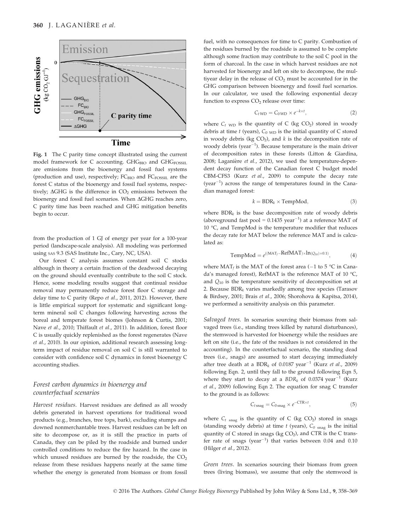

Fig. 1 The C parity time concept illustrated using the current model framework for C accounting. GHG<sub>BIO</sub> and GHG<sub>FOSSIL</sub> are emissions from the bioenergy and fossil fuel systems (production and use), respectively;  $FC<sub>BIO</sub>$  and  $FC<sub>FOSSIL</sub>$  are the forest C status of the bioenergy and fossil fuel systems, respectively;  $\Delta GHG$  is the difference in  $CO<sub>2</sub>$  emissions between the bioenergy and fossil fuel scenarios. When  $\Delta GHG$  reaches zero, C parity time has been reached and GHG mitigation benefits begin to occur.

from the production of 1 GJ of energy per year for a 100-year period (landscape-scale analysis). All modeling was performed using SAS 9.3 (SAS Institute Inc., Cary, NC, USA).

Our forest C analysis assumes constant soil C stocks although in theory a certain fraction of the deadwood decaying on the ground should eventually contribute to the soil C stock. Hence, some modeling results suggest that continual residue removal may permanently reduce forest floor C storage and delay time to C parity (Repo et al., 2011, 2012). However, there is little empirical support for systematic and significant longterm mineral soil C changes following harvesting across the boreal and temperate forest biomes (Johnson & Curtis, 2001; Nave et al., 2010; Thiffault et al., 2011). In addition, forest floor C is usually quickly replenished as the forest regenerates (Nave et al., 2010). In our opinion, additional research assessing longterm impact of residue removal on soil C is still warranted to consider with confidence soil C dynamics in forest bioenergy C accounting studies.

# Forest carbon dynamics in bioenergy and counterfactual scenarios

Harvest residues. Harvest residues are defined as all woody debris generated in harvest operations for traditional wood products (e.g., branches, tree tops, bark), excluding stumps and downed nonmerchantable trees. Harvest residues can be left on site to decompose or, as it is still the practice in parts of Canada, they can be piled by the roadside and burned under controlled conditions to reduce the fire hazard. In the case in which unused residues are burned by the roadside, the  $CO<sub>2</sub>$ release from these residues happens nearly at the same time whether the energy is generated from biomass or from fossil fuel, with no consequences for time to C parity. Combustion of the residues burned by the roadside is assumed to be complete although some fraction may contribute to the soil C pool in the form of charcoal. In the case in which harvest residues are not harvested for bioenergy and left on site to decompose, the multiyear delay in the release of  $CO<sub>2</sub>$  must be accounted for in the GHG comparison between bioenergy and fossil fuel scenarios. In our calculator, we used the following exponential decay function to express  $CO<sub>2</sub>$  release over time:

$$
C_{tWD} = C_{0WD} \times e^{-k \times t}, \qquad (2)
$$

where  $C_t$  <sub>WD</sub> is the quantity of C (kg CO<sub>2</sub>) stored in woody debris at time t (years),  $C_{0 \text{ WD}}$  is the initial quantity of C stored in woody debris (kg  $CO<sub>2</sub>$ ), and k is the decomposition rate of woody debris (year $^{-1}$ ). Because temperature is the main driver of decomposition rates in these forests (Litton & Giardina, 2008; Laganière et al., 2012), we used the temperature-dependent decay function of the Canadian forest C budget model CBM-CFS3 (Kurz et al., 2009) to compute the decay rate  $(year^{-1})$  across the range of temperatures found in the Canadian managed forest:

$$
k = BDR_k \times TempMod,
$$
 (3)

where  $BDR_k$  is the base decomposition rate of woody debris (aboveground fast pool =  $0.1435$  year<sup>-1</sup>) at a reference MAT of 10 °C, and TempMod is the temperature modifier that reduces the decay rate for MAT below the reference MAT and is calculated as:

$$
TempMod = e^{((MAT_f - RefMAT) \times ln(Q_{10}) \times 0.1)}, \tag{4}
$$

where  $\text{MAT}_f$  is the MAT of the forest area (-1 to 5 °C in Canada's managed forest), RefMAT is the reference MAT of 10 °C, and  $Q_{10}$  is the temperature sensitivity of decomposition set at 2. Because  $BDR_k$  varies markedly among tree species (Tarasov & Birdsey, 2001; Brais et al., 2006; Shorohova & Kapitsa, 2014), we performed a sensitivity analysis on this parameter.

Salvaged trees. In scenarios sourcing their biomass from salvaged trees (i.e., standing trees killed by natural disturbances), the stemwood is harvested for bioenergy while the residues are left on site (i.e., the fate of the residues is not considered in the accounting). In the counterfactual scenario, the standing dead trees (i.e., snags) are assumed to start decaying immediately after tree death at a  $BDR_k$  of 0.0187 year<sup>-1</sup> (Kurz et al., 2009) following Eqn. 2, until they fall to the ground following Eqn 5, where they start to decay at a  $BDR_k$  of 0.0374 year<sup>-1</sup> (Kurz et al., 2009) following Eqn 2. The equation for snag C transfer to the ground is as follows:

$$
C_{t\text{snag}} = C_{0\text{snag}} \times e^{-\text{CTR} \times t},\tag{5}
$$

where  $C_t$  snag is the quantity of C (kg CO<sub>2</sub>) stored in snags (standing woody debris) at time t (years),  $C_0$  snag is the initial quantity of C stored in snags (kg  $CO<sub>2</sub>$ ), and CTR is the C transfer rate of snags (year<sup>-1</sup>) that varies between  $0.04$  and  $0.10$ (Hilger et al., 2012).

Green trees. In scenarios sourcing their biomass from green trees (living biomass), we assume that only the stemwood is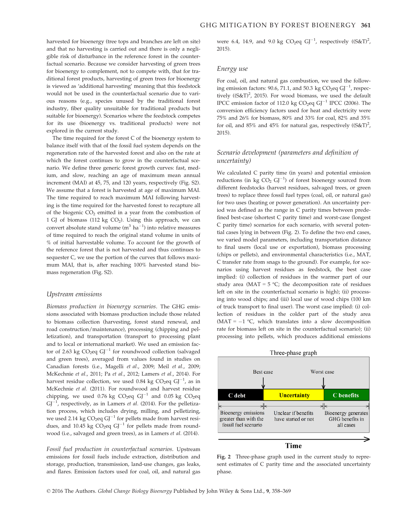harvested for bioenergy (tree tops and branches are left on site) and that no harvesting is carried out and there is only a negligible risk of disturbance in the reference forest in the counterfactual scenario. Because we consider harvesting of green trees for bioenergy to complement, not to compete with, that for traditional forest products, harvesting of green trees for bioenergy is viewed as 'additional harvesting' meaning that this feedstock would not be used in the counterfactual scenario due to various reasons (e.g., species unused by the traditional forest industry, fiber quality unsuitable for traditional products but suitable for bioenergy). Scenarios where the feedstock competes for its use (bioenergy vs. traditional products) were not explored in the current study.

The time required for the forest C of the bioenergy system to balance itself with that of the fossil fuel system depends on the regeneration rate of the harvested forest and also on the rate at which the forest continues to grow in the counterfactual scenario. We define three generic forest growth curves: fast, medium, and slow, reaching an age of maximum mean annual increment (MAI) at 45, 75, and 120 years, respectively (Fig. S2). We assume that a forest is harvested at age of maximum MAI. The time required to reach maximum MAI following harvesting is the time required for the harvested forest to recapture all of the biogenic  $CO<sub>2</sub>$  emitted in a year from the combustion of 1 GJ of biomass (112 kg  $CO<sub>2</sub>$ ). Using this approach, we can convert absolute stand volume  $(m^3 \text{ ha}^{-1})$  into relative measures of time required to reach the original stand volume in units of % of initial harvestable volume. To account for the growth of the reference forest that is not harvested and thus continues to sequester C, we use the portion of the curves that follows maximum MAI, that is, after reaching 100% harvested stand biomass regeneration (Fig. S2).

#### Upstream emissions

Biomass production in bioenergy scenarios. The GHG emissions associated with biomass production include those related to biomass collection (harvesting, forest stand renewal, and road construction/maintenance), processing (chipping and pelletization), and transportation (transport to processing plant and to local or international market). We used an emission factor of 2.63 kg  $CO_2$ eq  $GI^{-1}$  for roundwood collection (salvaged and green trees), averaged from values found in studies on Canadian forests (i.e., Magelli et al., 2009; Meil et al., 2009; McKechnie et al., 2011; Pa et al., 2012; Lamers et al., 2014). For harvest residue collection, we used 0.84 kg  $CO_2$ eq  $GI^{-1}$ , as in McKechnie et al. (2011). For roundwood and harvest residue chipping, we used 0.76 kg  $CO_2$ eq  $GI^{-1}$  and 0.05 kg  $CO_2$ eq  $GI^{-1}$ , respectively, as in Lamers et al. (2014). For the pelletization process, which includes drying, milling, and pelletizing, we used 2.14 kg  $CO_2$ eq  $GI^{-1}$  for pellets made from harvest residues, and 10.45 kg  $CO<sub>2</sub>$ eq GJ<sup>-1</sup> for pellets made from roundwood (i.e., salvaged and green trees), as in Lamers et al. (2014).

Fossil fuel production in counterfactual scenarios. Upstream emissions for fossil fuels include extraction, distribution and storage, production, transmission, land-use changes, gas leaks, and flares. Emission factors used for coal, oil, and natural gas were 6.4, 14.9, and 9.0 kg  $CO_2$ eq  $GI^{-1}$ , respectively  $((S\&T)^2)$ , 2015).

#### Energy use

For coal, oil, and natural gas combustion, we used the following emission factors: 90.6, 71.1, and 50.3 kg  $CO_2$ eq  $GI^{-1}$ , respectively ( $(S&T)^2$ , 2015). For wood biomass, we used the default IPCC emission factor of 112.0 kg  $CO<sub>2</sub>$ eq GJ<sup>-1</sup> IPCC (2006). The conversion efficiency factors used for heat and electricity were 75% and 26% for biomass, 80% and 33% for coal, 82% and 35% for oil, and 85% and 45% for natural gas, respectively  $((S\&T)^2)$ , 2015).

# Scenario development (parameters and definition of uncertainty)

We calculated C parity time (in years) and potential emission reductions (in kg  $CO<sub>2</sub> GJ<sup>-1</sup>$ ) of forest bioenergy sourced from different feedstocks (harvest residues, salvaged trees, or green trees) to replace three fossil fuel types (coal, oil, or natural gas) for two uses (heating or power generation). An uncertainty period was defined as the range in C parity times between predefined best-case (shortest C parity time) and worst-case (longest C parity time) scenarios for each scenario, with several potential cases lying in between (Fig. 2). To define the two end cases, we varied model parameters, including transportation distance to final users (local use or exportation), biomass processing (chips or pellets), and environmental characteristics (i.e., MAT, C transfer rate from snags to the ground). For example, for scenarios using harvest residues as feedstock, the best case implied: (i) collection of residues in the warmer part of our study area (MAT =  $5 \,^{\circ}\text{C}$ ; the decomposition rate of residues left on site in the counterfactual scenario is high); (ii) processing into wood chips; and (iii) local use of wood chips (100 km of truck transport to final user). The worst case implied: (i) collection of residues in the colder part of the study area (MAT =  $-1$  °C, which translates into a slow decomposition rate for biomass left on site in the counterfactual scenario); (ii) processing into pellets, which produces additional emissions



Fig. 2 Three-phase graph used in the current study to represent estimates of C parity time and the associated uncertainty phase.

© 2016 The Authors. Global Change Biology Bioenergy Published by John Wiley & Sons Ltd., 9, 358–369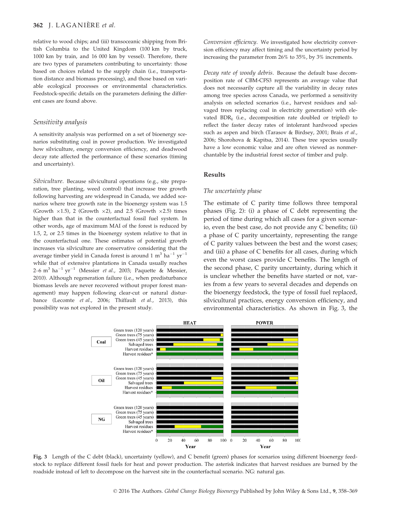# 362 J. LAGANIERE et al.

relative to wood chips; and (iii) transoceanic shipping from British Columbia to the United Kingdom (100 km by truck, 1000 km by train, and 16 000 km by vessel). Therefore, there are two types of parameters contributing to uncertainty: those based on choices related to the supply chain (i.e., transportation distance and biomass processing), and those based on variable ecological processes or environmental characteristics. Feedstock-specific details on the parameters defining the different cases are found above.

# Sensitivity analysis

A sensitivity analysis was performed on a set of bioenergy scenarios substituting coal in power production. We investigated how silviculture, energy conversion efficiency, and deadwood decay rate affected the performance of these scenarios (timing and uncertainty).

Silviculture. Because silvicultural operations (e.g., site preparation, tree planting, weed control) that increase tree growth following harvesting are widespread in Canada, we added scenarios where tree growth rate in the bioenergy system was 1.5 (Growth  $\times$ 1.5), 2 (Growth  $\times$ 2), and 2.5 (Growth  $\times$ 2.5) times higher than that in the counterfactual fossil fuel system. In other words, age of maximum MAI of the forest is reduced by 1.5, 2, or 2.5 times in the bioenergy system relative to that in the counterfactual one. These estimates of potential growth increases via silviculture are conservative considering that the average timber yield in Canada forest is around 1  $m<sup>3</sup>$  ha<sup>-1</sup> yr<sup>-1</sup> while that of extensive plantations in Canada usually reaches 2–6 m<sup>3</sup> ha<sup>-1</sup> yr<sup>-1</sup> (Messier *et al.*, 2003; Paquette & Messier, 2010). Although regeneration failure (i.e., when predisturbance biomass levels are never recovered without proper forest management) may happen following clear-cut or natural disturbance (Lecomte et al., 2006; Thiffault et al., 2013), this possibility was not explored in the present study.

Conversion efficiency. We investigated how electricity conversion efficiency may affect timing and the uncertainty period by increasing the parameter from 26% to 35%, by 3% increments.

Decay rate of woody debris. Because the default base decomposition rate of CBM-CFS3 represents an average value that does not necessarily capture all the variability in decay rates among tree species across Canada, we performed a sensitivity analysis on selected scenarios (i.e., harvest residues and salvaged trees replacing coal in electricity generation) with elevated  $BDR_k$  (i.e., decomposition rate doubled or tripled) to reflect the faster decay rates of intolerant hardwood species such as aspen and birch (Tarasov & Birdsey, 2001; Brais et al., 2006; Shorohova & Kapitsa, 2014). These tree species usually have a low economic value and are often viewed as nonmerchantable by the industrial forest sector of timber and pulp.

#### Results

#### The uncertainty phase

The estimate of C parity time follows three temporal phases (Fig. 2): (i) a phase of C debt representing the period of time during which all cases for a given scenario, even the best case, do not provide any C benefits; (ii) a phase of C parity uncertainty, representing the range of C parity values between the best and the worst cases; and (iii) a phase of C benefits for all cases, during which even the worst cases provide C benefits. The length of the second phase, C parity uncertainty, during which it is unclear whether the benefits have started or not, varies from a few years to several decades and depends on the bioenergy feedstock, the type of fossil fuel replaced, silvicultural practices, energy conversion efficiency, and environmental characteristics. As shown in Fig. 3, the



Fig. 3 Length of the C debt (black), uncertainty (yellow), and C benefit (green) phases for scenarios using different bioenergy feedstock to replace different fossil fuels for heat and power production. The asterisk indicates that harvest residues are burned by the roadside instead of left to decompose on the harvest site in the counterfactual scenario. NG: natural gas.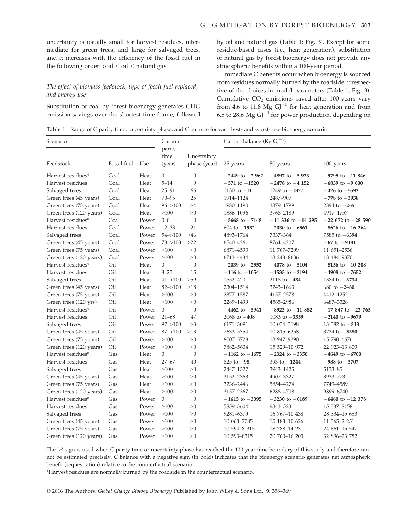uncertainty is usually small for harvest residues, intermediate for green trees, and large for salvaged trees, and it increases with the efficiency of the fossil fuel in the following order:  $\text{coal} < \text{oil} < \text{natural}$  gas.

# The effect of biomass feedstock, type of fossil fuel replaced, and energy use

Substitution of coal by forest bioenergy generates GHG emission savings over the shortest time frame, followed by oil and natural gas (Table 1; Fig. 3). Except for some residue-based cases (i.e., heat generation), substitution of natural gas by forest bioenergy does not provide any atmospheric benefits within a 100-year period.

Immediate C benefits occur when bioenergy is sourced from residues normally burned by the roadside, irrespective of the choices in model parameters (Table 1; Fig. 3). Cumulative  $CO<sub>2</sub>$  emissions saved after 100 years vary from 4.6 to 11.8 Mg  $GI^{-1}$  for heat generation and from 6.5 to 28.6 Mg  $GI^{-1}$  for power production, depending on

Table 1 Range of C parity time, uncertainty phase, and C balance for each best- and worst-case bioenergy scenario

| Scenario                |             |       | Carbon         |                | Carbon balance ( $Kg GJ^{-1}$ ) |                        |                        |
|-------------------------|-------------|-------|----------------|----------------|---------------------------------|------------------------|------------------------|
|                         |             |       | parity<br>time | Uncertainty    |                                 |                        |                        |
| Feedstock               | Fossil fuel | Use   | (year)         | phase (year)   | 25 years                        | 50 years               | 100 years              |
| Harvest residues*       | Coal        | Heat  | $\overline{0}$ | $\theta$       | $-2449$ to $-2962$              | $-4897$ to $-5923$     | $-9795$ to $-11846$    |
| Harvest residues        | Coal        | Heat  | $5 - 14$       | 9              | $-571$ to $-1520$               | $-2478$ to $-4$ 152    | $-6839$ to $-9600$     |
| Salvaged trees          | Coal        | Heat  | $25 - 91$      | 66             | 1130 to $-11$                   | 1249 to $-1327$        | $-426$ to $-5592$      |
| Green trees (45 years)  | Coal        | Heat  | $70 - 95$      | 25             | 1914-1124                       | 2487-907               | $-778$ to $-3938$      |
| Green trees (75 years)  | Coal        | Heat  | $96 - > 100$   | >4             | 1980-1190                       | 3379-1799              | $2894$ to $-265$       |
| Green trees (120 years) | Coal        | Heat  | >100           | >0             | 1886-1096                       | 3768-2189              | 4917-1757              |
| Harvest residues*       | Coal        | Power | $0 - 0$        | $\mathbf{0}$   | $-5668$ to $-7148$              | $-11$ 336 to $-14$ 295 | $-22$ 672 to $-28$ 590 |
| Harvest residues        | Coal        | Power | $12 - 33$      | 21             | $604$ to $-1932$                | $-2030$ to $-6561$     | $-8626$ to $-16$ 264   |
| Salvaged trees          | Coal        | Power | $54 - > 100$   | $>46$          | 4893-1764                       | 7337-364               | $7585$ to $-6394$      |
| Green trees (45 years)  | Coal        | Power | $78 - > 100$   | >22            | 6540-4261                       | 8764-4207              | $-67$ to $-9181$       |
| Green trees (75 years)  | Coal        | Power | >100           | >0             | 6871-4593                       | 11 767-7209            | 11 651-2536            |
| Green trees (120 years) | Coal        | Power | >100           | >0             | 6713-4434                       | 13 243 8686            | 18 484 - 9370          |
| Harvest residues*       | Oil         | Heat  | $\Omega$       | $\overline{0}$ | $-2039$ to $-2552$              | $-4078$ to $-5104$     | $-8156$ to $-10$ 208   |
| Harvest residues        | Oil         | Heat  | $8 - 23$       | 15             | $-116$ to $-1054$               | $-1535$ to $-3194$     | $-4908$ to $-7652$     |
| Salvaged trees          | Oil         | Heat  | $41 - > 100$   | >59            | 1552-420                        | $2118$ to $-434$       | 1384 to $-3734$        |
| Green trees (45 years)  | Oil         | Heat  | $82 - > 100$   | $>18$          | 2304-1514                       | 3243-1663              | $680$ to $-2480$       |
| Green trees (75 years)  | Oil         | Heat  | >100           | >0             | 2377-1587                       | 4157-2578              | 4412-1252              |
| Green trees (120 yrs)   | Oil         | Heat  | >100           | >0             | 2289-1499                       | 4565-2986              | 6487-3328              |
| Harvest residues*       | Oil         | Power | $\theta$       | $\theta$       | $-4462$ to $-5941$              | $-8923$ to $-11882$    | $-17847$ to $-23765$   |
| Harvest residues        | Oil         | Power | $21 - 68$      | 47             | 2068 to $-408$                  | 1083 to $-3359$        | $-2140$ to $-9679$     |
| Salvaged trees          | Oil         | Power | $97 - > 100$   | >3             | 6171-3091                       | 10 034 - 3198          | 13 382 to $-318$       |
| Green trees (45 years)  | Oil         | Power | $87 - > 100$   | >13            | 7633-5354                       | 10 815 - 6258          | $3734$ to $-5380$      |
| Green trees (75 years)  | Oil         | Power | >100           | >0             | 8007-5728                       | 13 947-9390            | 15 790 - 6676          |
| Green trees (120 years) | Oil         | Power | >100           | >0             | 7882-5604                       | 15 529-10 972          | 22 923-13 809          |
| Harvest residues*       | Gas         | Heat  | $\overline{0}$ | $\theta$       | $-1162$ to $-1675$              | $-2324$ to $-3350$     | $-4649$ to $-6700$     |
| Harvest residues        | Gas         | Heat  | $27 - 67$      | 40             | $825$ to $-98$                  | 393 to $-1244$         | $-988$ to $-3707$      |
| Salvaged trees          | Gas         | Heat  | >100           | >0             | 2447-1327                       | 3943-1425              | 5133-85                |
| Green trees (45 years)  | Gas         | Heat  | >100           | >0             | 3152-2363                       | 4907-3327              | 3933-773               |
| Green trees (75 years)  | Gas         | Heat  | >100           | >0             | 3236-2446                       | 5854-4274              | 7749-4589              |
| Green trees (120 years) | Gas         | Heat  | >100           | >0             | 3157-2367                       | 6288-4708              | 9899-6740              |
| Harvest residues*       | Gas         | Power | $\Omega$       | $\mathbf{0}$   | $-1615$ to $-3095$              | $-3230$ to $-6189$     | $-6460$ to $-12$ 378   |
| Harvest residues        | Gas         | Power | >100           | >0             | 5859-3604                       | 9343-5231              | 15 337-8158            |
| Salvaged trees          | Gas         | Power | >100           | >0             | 9281-6379                       | 16 767-10 438          | 28 334 - 15 653        |
| Green trees (45 years)  | Gas         | Power | >100           | >0             | 10 063-7785                     | 15 183-10 626          | 11 365-2 251           |
| Green trees (75 years)  | Gas         | Power | >100           | >0             | 10 594-8 315                    | 18 788-14 231          | 24 661-15 547          |
| Green trees (120 years) | Gas         | Power | >100           | >0             | 10 593-8315                     | 20 760-16 203          | 32 896-23 782          |

The '>' sign is used when C parity time or uncertainty phase has reached the 100-year time boundary of this study and therefore cannot be estimated precisely. C balance with a negative sign (in bold) indicates that the bioenergy scenario generates net atmospheric benefit (sequestration) relative to the counterfactual scenario.

\*Harvest residues are normally burned by the roadside in the counterfactual scenario.

© 2016 The Authors. Global Change Biology Bioenergy Published by John Wiley & Sons Ltd., 9, 358–369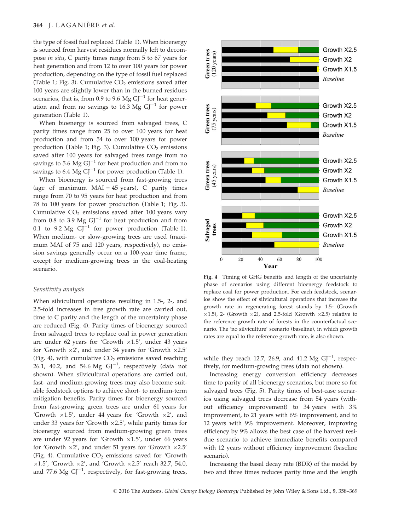the type of fossil fuel replaced (Table 1). When bioenergy is sourced from harvest residues normally left to decompose in situ, C parity times range from 5 to 67 years for heat generation and from 12 to over 100 years for power production, depending on the type of fossil fuel replaced (Table 1; Fig. 3). Cumulative  $CO<sub>2</sub>$  emissions saved after 100 years are slightly lower than in the burned residues scenarios, that is, from 0.9 to 9.6 Mg  $GI^{-1}$  for heat generation and from no savings to 16.3 Mg  $GI^{-1}$  for power generation (Table 1).

When bioenergy is sourced from salvaged trees, C parity times range from 25 to over 100 years for heat production and from 54 to over 100 years for power production (Table 1; Fig. 3). Cumulative  $CO<sub>2</sub>$  emissions saved after 100 years for salvaged trees range from no savings to 5.6  $\text{Mg G}^{-1}$  for heat production and from no savings to 6.4 Mg  $GI^{-1}$  for power production (Table 1).

When bioenergy is sourced from fast-growing trees (age of maximum  $MAI = 45$  years), C parity times range from 70 to 95 years for heat production and from 78 to 100 years for power production (Table 1; Fig. 3). Cumulative  $CO<sub>2</sub>$  emissions saved after 100 years vary from 0.8 to 3.9 Mg  $GI^{-1}$  for heat production and from 0.1 to 9.2 Mg  $GI^{-1}$  for power production (Table 1). When medium- or slow-growing trees are used (maximum MAI of 75 and 120 years, respectively), no emission savings generally occur on a 100-year time frame, except for medium-growing trees in the coal-heating scenario.

#### Sensitivity analysis

When silvicultural operations resulting in 1.5-, 2-, and 2.5-fold increases in tree growth rate are carried out, time to C parity and the length of the uncertainty phase are reduced (Fig. 4). Parity times of bioenergy sourced from salvaged trees to replace coal in power generation are under 62 years for 'Growth  $\times 1.5'$ , under 43 years for 'Growth  $\times 2'$ , and under 34 years for 'Growth  $\times 2.5'$ (Fig. 4), with cumulative  $CO<sub>2</sub>$  emissions saved reaching 26.1, 40.2, and 54.6 Mg  $GI^{-1}$ , respectively (data not shown). When silvicultural operations are carried out, fast- and medium-growing trees may also become suitable feedstock options to achieve short- to medium-term mitigation benefits. Parity times for bioenergy sourced from fast-growing green trees are under 61 years for 'Growth  $\times 1.5'$ , under 44 years for 'Growth  $\times 2'$ , and under 33 years for 'Growth  $\times$  2.5', while parity times for bioenergy sourced from medium-growing green trees are under 92 years for 'Growth  $\times 1.5'$ , under 66 years for 'Growth  $\times 2'$ , and under 51 years for 'Growth  $\times 2.5'$ (Fig. 4). Cumulative  $CO<sub>2</sub>$  emissions saved for 'Growth  $\times 1.5'$ , 'Growth  $\times 2'$ , and 'Growth  $\times 2.5'$  reach 32.7, 54.0, and 77.6 Mg  $GI^{-1}$ , respectively, for fast-growing trees,



Fig. 4 Timing of GHG benefits and length of the uncertainty phase of scenarios using different bioenergy feedstock to replace coal for power production. For each feedstock, scenarios show the effect of silvicultural operations that increase the growth rate in regenerating forest stands by 1.5- (Growth  $\times$ 1.5), 2- (Growth  $\times$ 2), and 2.5-fold (Growth  $\times$ 2.5) relative to the reference growth rate of forests in the counterfactual scenario. The 'no silviculture' scenario (baseline), in which growth rates are equal to the reference growth rate, is also shown.

while they reach 12.7, 26.9, and 41.2 Mg  $GI^{-1}$ , respectively, for medium-growing trees (data not shown).

Increasing energy conversion efficiency decreases time to parity of all bioenergy scenarios, but more so for salvaged trees (Fig. 5). Parity times of best-case scenarios using salvaged trees decrease from 54 years (without efficiency improvement) to 34 years with 3% improvement, to 21 years with 6% improvement, and to 12 years with 9% improvement. Moreover, improving efficiency by 9% allows the best case of the harvest residue scenario to achieve immediate benefits compared with 12 years without efficiency improvement (baseline scenario).

Increasing the basal decay rate (BDR) of the model by two and three times reduces parity time and the length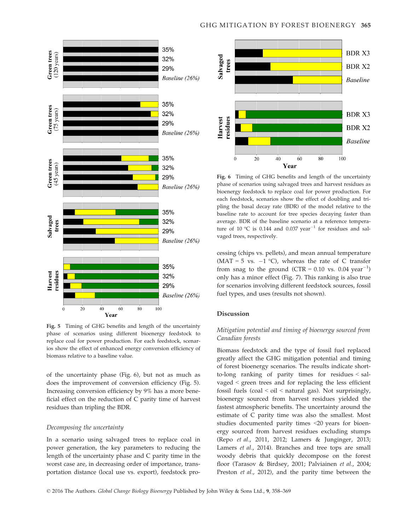

Fig. 5 Timing of GHG benefits and length of the uncertainty phase of scenarios using different bioenergy feedstock to replace coal for power production. For each feedstock, scenarios show the effect of enhanced energy conversion efficiency of biomass relative to a baseline value.

of the uncertainty phase (Fig. 6), but not as much as does the improvement of conversion efficiency (Fig. 5). Increasing conversion efficiency by 9% has a more beneficial effect on the reduction of C parity time of harvest residues than tripling the BDR.

#### Decomposing the uncertainty

In a scenario using salvaged trees to replace coal in power generation, the key parameters to reducing the length of the uncertainty phase and C parity time in the worst case are, in decreasing order of importance, transportation distance (local use vs. export), feedstock pro-



Fig. 6 Timing of GHG benefits and length of the uncertainty phase of scenarios using salvaged trees and harvest residues as bioenergy feedstock to replace coal for power production. For each feedstock, scenarios show the effect of doubling and tripling the basal decay rate (BDR) of the model relative to the baseline rate to account for tree species decaying faster than average. BDR of the baseline scenario at a reference temperature of 10 °C is 0.144 and 0.037 year<sup>-1</sup> for residues and salvaged trees, respectively.

cessing (chips vs. pellets), and mean annual temperature (MAT = 5 vs.  $-1$  °C), whereas the rate of C transfer from snag to the ground (CTR =  $0.10$  vs.  $0.04$  year<sup>-1</sup>) only has a minor effect (Fig. 7). This ranking is also true for scenarios involving different feedstock sources, fossil fuel types, and uses (results not shown).

#### Discussion

# Mitigation potential and timing of bioenergy sourced from Canadian forests

Biomass feedstock and the type of fossil fuel replaced greatly affect the GHG mitigation potential and timing of forest bioenergy scenarios. The results indicate shortto-long ranking of parity times for residues < salvaged < green trees and for replacing the less efficient fossil fuels (coal < oil < natural gas). Not surprisingly, bioenergy sourced from harvest residues yielded the fastest atmospheric benefits. The uncertainty around the estimate of C parity time was also the smallest. Most studies documented parity times <20 years for bioenergy sourced from harvest residues excluding stumps (Repo et al., 2011, 2012; Lamers & Junginger, 2013; Lamers et al., 2014). Branches and tree tops are small woody debris that quickly decompose on the forest floor (Tarasov & Birdsey, 2001; Palviainen et al., 2004; Preston et al., 2012), and the parity time between the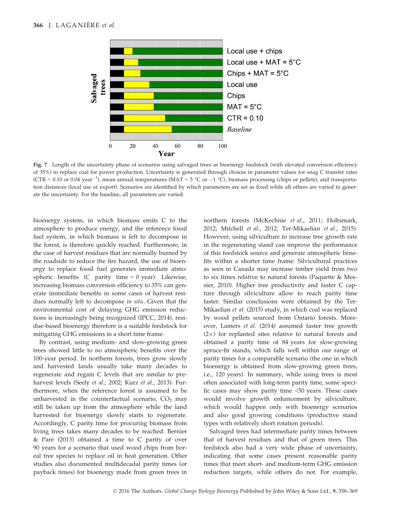

Fig. 7 Length of the uncertainty phase of scenarios using salvaged trees as bioenergy feedstock (with elevated conversion efficiency of 35%) to replace coal for power production. Uncertainty is generated through choices in parameter values for snag C transfer rates (CTR = 0.10 or 0.04 year<sup>-1</sup>), mean annual temperatures (MAT = 5 °C or -1 °C), biomass processing (chips or pellets), and transportation distances (local use or export). Scenarios are identified by which parameters are set as fixed while all others are varied to generate the uncertainty. For the baseline, all parameters are varied.

bioenergy system, in which biomass emits C to the atmosphere to produce energy, and the reference fossil fuel system, in which biomass is left to decompose in the forest, is therefore quickly reached. Furthermore, in the case of harvest residues that are normally burned by the roadside to reduce the fire hazard, the use of bioenergy to replace fossil fuel generates immediate atmospheric benefits (C parity time  $= 0$  year). Likewise, increasing biomass conversion efficiency to 35% can generate immediate benefits in some cases of harvest residues normally left to decompose in situ. Given that the environmental cost of delaying GHG emission reductions is increasingly being recognized (IPCC, 2014), residue-based bioenergy therefore is a suitable feedstock for mitigating GHG emissions in a short time frame.

By contrast, using medium- and slow-growing green trees showed little to no atmospheric benefits over the 100-year period. In northern forests, trees grow slowly and harvested lands usually take many decades to regenerate and regain C levels that are similar to preharvest levels (Seely et al., 2002; Kurz et al., 2013). Furthermore, when the reference forest is assumed to be unharvested in the counterfactual scenario,  $CO<sub>2</sub>$  may still be taken up from the atmosphere while the land harvested for bioenergy slowly starts to regenerate. Accordingly, C parity time for procuring biomass from living trees takes many decades to be reached. Bernier & Pare (2013) obtained a time to C parity of over 90 years for a scenario that used wood chips from boreal tree species to replace oil in heat generation. Other studies also documented multidecadal parity times (or payback times) for bioenergy made from green trees in northern forests (McKechnie et al., 2011; Holtsmark, 2012; Mitchell et al., 2012; Ter-Mikaelian et al., 2015). However, using silviculture to increase tree growth rate in the regenerating stand can improve the performance of this feedstock source and generate atmospheric benefits within a shorter time frame. Silvicultural practices as seen in Canada may increase timber yield from two to six times relative to natural forests (Paquette & Messier, 2010). Higher tree productivity and faster C capture through silviculture allow to reach parity time faster. Similar conclusions were obtained by the Ter-Mikaelian et al. (2015) study, in which coal was replaced by wood pellets sourced from Ontario forests. Moreover, Lamers et al. (2014) assumed faster tree growth  $(2\times)$  for replanted sites relative to natural forests and obtained a parity time of 84 years for slow-growing spruce-fir stands, which falls well within our range of parity times for a comparable scenario (the one in which bioenergy is obtained from slow-growing green trees, i.e., 120 years). In summary, while using trees is most often associated with long-term parity time, some specific cases may show parity time <50 years. These cases would involve growth enhancement by silviculture, which would happen only with bioenergy scenarios and also good growing conditions (productive stand types with relatively short rotation periods).

Salvaged trees had intermediate parity times between that of harvest residues and that of green trees. This feedstock also had a very wide phase of uncertainty, indicating that some cases present reasonable parity times that meet short- and medium-term GHG emission reduction targets, while others do not. For example,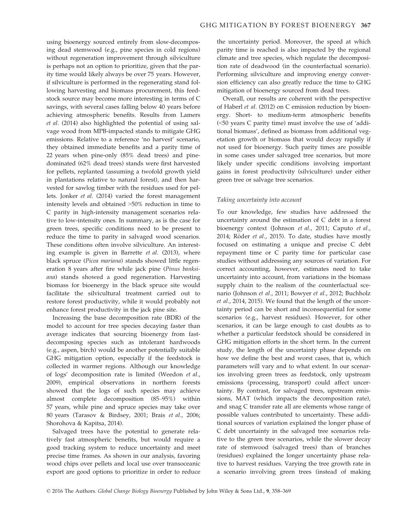using bioenergy sourced entirely from slow-decomposing dead stemwood (e.g., pine species in cold regions) without regeneration improvement through silviculture is perhaps not an option to prioritize, given that the parity time would likely always be over 75 years. However, if silviculture is performed in the regenerating stand following harvesting and biomass procurement, this feedstock source may become more interesting in terms of C savings, with several cases falling below 40 years before achieving atmospheric benefits. Results from Lamers et al. (2014) also highlighted the potential of using salvage wood from MPB-impacted stands to mitigate GHG emissions. Relative to a reference 'no harvest' scenario, they obtained immediate benefits and a parity time of 22 years when pine-only (85% dead trees) and pinedominated (62% dead trees) stands were first harvested for pellets, replanted (assuming a twofold growth yield in plantations relative to natural forest), and then harvested for sawlog timber with the residues used for pellets. Jonker et al. (2014) varied the forest management intensity levels and obtained >50% reduction in time to C parity in high-intensity management scenarios relative to low-intensity ones. In summary, as is the case for green trees, specific conditions need to be present to reduce the time to parity in salvaged wood scenarios. These conditions often involve silviculture. An interesting example is given in Barrette et al. (2013), where black spruce (Picea mariana) stands showed little regeneration 8 years after fire while jack pine (Pinus banksiana) stands showed a good regeneration. Harvesting biomass for bioenergy in the black spruce site would facilitate the silvicultural treatment carried out to restore forest productivity, while it would probably not enhance forest productivity in the jack pine site.

Increasing the base decomposition rate (BDR) of the model to account for tree species decaying faster than average indicates that sourcing bioenergy from fastdecomposing species such as intolerant hardwoods (e.g., aspen, birch) would be another potentially suitable GHG mitigation option, especially if the feedstock is collected in warmer regions. Although our knowledge of logs' decomposition rate is limited (Weedon et al., 2009), empirical observations in northern forests showed that the logs of such species may achieve almost complete decomposition (85–95%) within 57 years, while pine and spruce species may take over 80 years (Tarasov & Birdsey, 2001; Brais et al., 2006; Shorohova & Kapitsa, 2014).

Salvaged trees have the potential to generate relatively fast atmospheric benefits, but would require a good tracking system to reduce uncertainty and meet precise time frames. As shown in our analysis, favoring wood chips over pellets and local use over transoceanic export are good options to prioritize in order to reduce the uncertainty period. Moreover, the speed at which parity time is reached is also impacted by the regional climate and tree species, which regulate the decomposition rate of deadwood (in the counterfactual scenario). Performing silviculture and improving energy conversion efficiency can also greatly reduce the time to GHG mitigation of bioenergy sourced from dead trees.

Overall, our results are coherent with the perspective of Haberl et al. (2012) on C emission reduction by bioenergy. Short- to medium-term atmospheric benefits (<50 years C parity time) must involve the use of 'additional biomass', defined as biomass from additional vegetation growth or biomass that would decay rapidly if not used for bioenergy. Such parity times are possible in some cases under salvaged tree scenarios, but more likely under specific conditions involving important gains in forest productivity (silviculture) under either green tree or salvage tree scenarios.

# Taking uncertainty into account

To our knowledge, few studies have addressed the uncertainty around the estimation of C debt in a forest bioenergy context (Johnson et al., 2011; Caputo et al., 2014; Röder et al., 2015). To date, studies have mostly focused on estimating a unique and precise C debt repayment time or C parity time for particular case studies without addressing any sources of variation. For correct accounting, however, estimates need to take uncertainty into account, from variations in the biomass supply chain to the realism of the counterfactual scenario (Johnson et al., 2011; Bowyer et al., 2012; Buchholz et al., 2014, 2015). We found that the length of the uncertainty period can be short and inconsequential for some scenarios (e.g., harvest residues). However, for other scenarios, it can be large enough to cast doubts as to whether a particular feedstock should be considered in GHG mitigation efforts in the short term. In the current study, the length of the uncertainty phase depends on how we define the best and worst cases, that is, which parameters will vary and to what extent. In our scenarios involving green trees as feedstock, only upstream emissions (processing, transport) could affect uncertainty. By contrast, for salvaged trees, upstream emissions, MAT (which impacts the decomposition rate), and snag C transfer rate all are elements whose range of possible values contributed to uncertainty. These additional sources of variation explained the longer phase of C debt uncertainty in the salvaged tree scenarios relative to the green tree scenarios, while the slower decay rate of stemwood (salvaged trees) than of branches (residues) explained the longer uncertainty phase relative to harvest residues. Varying the tree growth rate in a scenario involving green trees (instead of making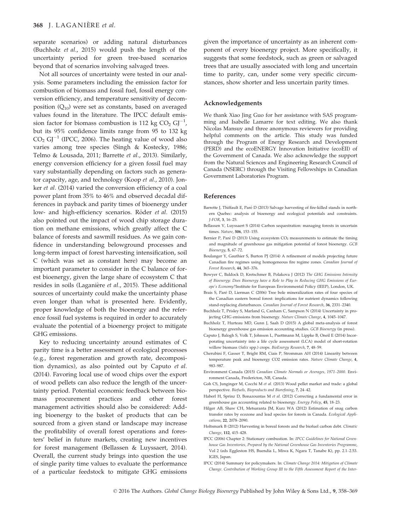separate scenarios) or adding natural disturbances (Buchholz et al., 2015) would push the length of the uncertainty period for green tree-based scenarios beyond that of scenarios involving salvaged trees.

Not all sources of uncertainty were tested in our analysis. Some parameters including the emission factor for combustion of biomass and fossil fuel, fossil energy conversion efficiency, and temperature sensitivity of decomposition  $(Q_{10})$  were set as constants, based on averaged values found in the literature. The IPCC default emission factor for biomass combustion is 112 kg  $CO<sub>2</sub>$  GJ<sup>-1</sup>, but its 95% confidence limits range from 95 to 132 kg  $CO<sub>2</sub> GJ<sup>-1</sup>$  (IPCC, 2006). The heating value of wood also varies among tree species (Singh & Kostecky, 1986; Telmo & Lousada, 2011; Barrette et al., 2013). Similarly, energy conversion efficiency for a given fossil fuel may vary substantially depending on factors such as generator capacity, age, and technology (Koop et al., 2010). Jonker et al. (2014) varied the conversion efficiency of a coal power plant from 35% to 46% and observed decadal differences in payback and parity times of bioenergy under low- and high-efficiency scenarios. Röder et al. (2015) also pointed out the impact of wood chip storage duration on methane emissions, which greatly affect the C balance of forests and sawmill residues. As we gain confidence in understanding belowground processes and long-term impact of forest harvesting intensification, soil C (which was set as constant here) may become an important parameter to consider in the C balance of forest bioenergy, given the large share of ecosystem C that resides in soils (Laganière et al., 2015). These additional sources of uncertainty could make the uncertainty phase even longer than what is presented here. Evidently, proper knowledge of both the bioenergy and the reference fossil fuel systems is required in order to accurately evaluate the potential of a bioenergy project to mitigate GHG emissions.

Key to reducing uncertainty around estimates of C parity time is a better assessment of ecological processes (e.g., forest regeneration and growth rate, decomposition dynamics), as also pointed out by Caputo et al. (2014). Favoring local use of wood chips over the export of wood pellets can also reduce the length of the uncertainty period. Potential economic feedback between biomass procurement practices and other forest management activities should also be considered: Adding bioenergy to the basket of products that can be sourced from a given stand or landscape may increase the profitability of overall forest operations and foresters' belief in future markets, creating new incentives for forest management (Bellassen & Luyssaert, 2014). Overall, the current study brings into question the use of single parity time values to evaluate the performance of a particular feedstock to mitigate GHG emissions

given the importance of uncertainty as an inherent component of every bioenergy project. More specifically, it suggests that some feedstock, such as green or salvaged trees that are usually associated with long and uncertain time to parity, can, under some very specific circumstances, show shorter and less uncertain parity times.

#### Acknowledgements

We thank Xiao Jing Guo for her assistance with SAS programming and Isabelle Lamarre for text editing. We also thank Nicolas Mansuy and three anonymous reviewers for providing helpful comments on the article. This study was funded through the Program of Energy Research and Development (PERD) and the ecoENERGY Innovation Initiative (ecoEII) of the Government of Canada. We also acknowledge the support from the Natural Sciences and Engineering Research Council of Canada (NSERC) through the Visiting Fellowships in Canadian Government Laboratories Program.

#### References

- Barrette J, Thiffault E, Pare D (2013) Salvage harvesting of fire-killed stands in northern Quebec: analysis of bioenergy and ecological potentials and constraints. J-FOR, 3, 16–25.
- Bellassen V, Luyssaert S (2014) Carbon sequestration: managing forests in uncertain times. Nature, 506, 153–155.
- Bernier P, Paré D (2013) Using ecosystem  $CO<sub>2</sub>$  measurements to estimate the timing and magnitude of greenhouse gas mitigation potential of forest bioenergy. GCB Bioenergy, 5, 67–72.
- Boulanger Y, Gauthier S, Burton PJ (2014) A refinement of models projecting future Canadian fire regimes using homogeneous fire regime zones. Canadian Journal of Forest Research, 44, 365–376.
- Bowyer C, Baldock D, Kretschmer B, Polakova J (2012) The GHG Emissions Intensity of Bioenergy: Does Bioenergy have a Role to Play in Reducing GHG Emissions of Europe's Economy?Institute for European Environmental Policy (IEEP), London, UK.
- Brais S, Paré D, Lierman C (2006) Tree bole mineralization rates of four species of the Canadian eastern boreal forest: implications for nutrient dynamics following stand-replacing disturbances. Canadian Journal of Forest Research, 36, 2331–2340.
- Buchholz T, Prisley S, Marland G, Canham C, Sampson N (2014) Uncertainty in projecting GHG emissions from bioenergy. Nature Climate Change, 4, 1045–1047.
- Buchholz T, Hurteau MD, Gunn J, Saah D (2015) A global meta-analysis of forest bioenergy greenhouse gas emission accounting studies. GCB Bioenergy (in press).
- Caputo J, Balogh S, Volk T, Johnson L, Puettmann M, Lippke B, Oneil E (2014) Incorporating uncertainty into a life cycle assessment (LCA) model of short-rotation willow biomass (Salix spp.) crops. BioEnergy Research, 7, 48–59.
- Cherubini F, Gasser T, Bright RM, Ciais P, Stromman AH (2014) Linearity between temperature peak and bioenergy CO2 emission rates. Nature Climate Change, 4, 983–987.
- Environment Canada (2015) Canadian Climate Normals or Averages, 1971–2000. Environment Canada, Fredericton, NB, Canada.
- Goh CS, Junginger M, Cocchi M et al. (2013) Wood pellet market and trade: a global perspective. Biofuels, Bioproducts and Biorefining, 7, 24–42.
- Haberl H, Sprinz D, Bonazountas M et al. (2012) Correcting a fundamental error in greenhouse gas accounting related to bioenergy. Energy Policy, 45, 18–23.
- Hilger AB, Shaw CH, Metsaranta JM, Kurz WA (2012) Estimation of snag carbon transfer rates by ecozone and lead species for forests in Canada. Ecological Applications, 22, 2078–2090.
- Holtsmark B (2012) Harvesting in boreal forests and the biofuel carbon debt. Climatic Change, 112, 415–428.
- IPCC (2006) Chapter 2: Stationary combustion. In: IPCC Guidelines for National Greenhouse Gas Inventories, Prepared by the National Greenhouse Gas Inventories Programme, Vol 2 (eds Eggleston HS, Buendia L, Miwa K, Ngara T, Tanabe K), pp. 2.1–2.53. IGES, Japan.
- IPCC (2014) Summary for policymakers. In: Climate Change 2014: Mitigation of Climate Change. Contribution of Working Group III to the Fifth Assessment Report of the Inter-